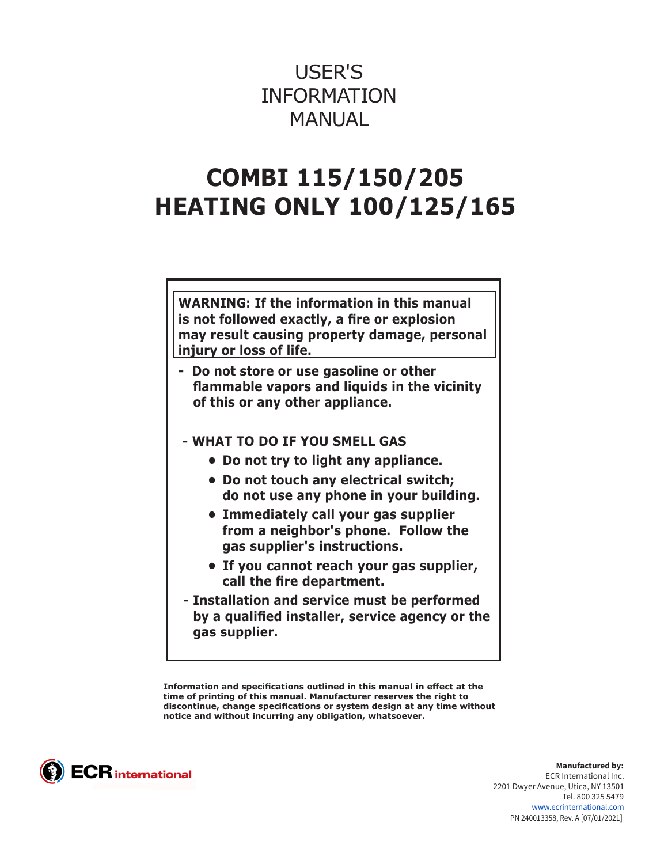# USER'S INFORMATION MANUAL

# **COMBI 115/150/205 HEATING ONLY 100/125/165**

**WARNING: If the information in this manual is not followed exactly, a fire or explosion may result causing property damage, personal injury or loss of life.**

- **Do not store or use gasoline or other flammable vapors and liquids in the vicinity of this or any other appliance.**
- **WHAT TO DO IF YOU SMELL GAS** 
	- **• Do not try to light any appliance.**
	- **• Do not touch any electrical switch; do not use any phone in your building.**
	- **• Immediately call your gas supplier from a neighbor's phone. Follow the gas supplier's instructions.**
	- **• If you cannot reach your gas supplier, call the fire department.**
- **Installation and service must be performed by a qualified installer, service agency or the gas supplier.**

**Information and specifications outlined in this manual in effect at the time of printing of this manual. Manufacturer reserves the right to discontinue, change specifications or system design at any time without notice and without incurring any obligation, whatsoever.**



**Manufactured by:** ECR International Inc. 2201 Dwyer Avenue, Utica, NY 13501 Tel. 800 325 5479 www.ecrinternational.com PN 240013358, Rev. A [07/01/2021]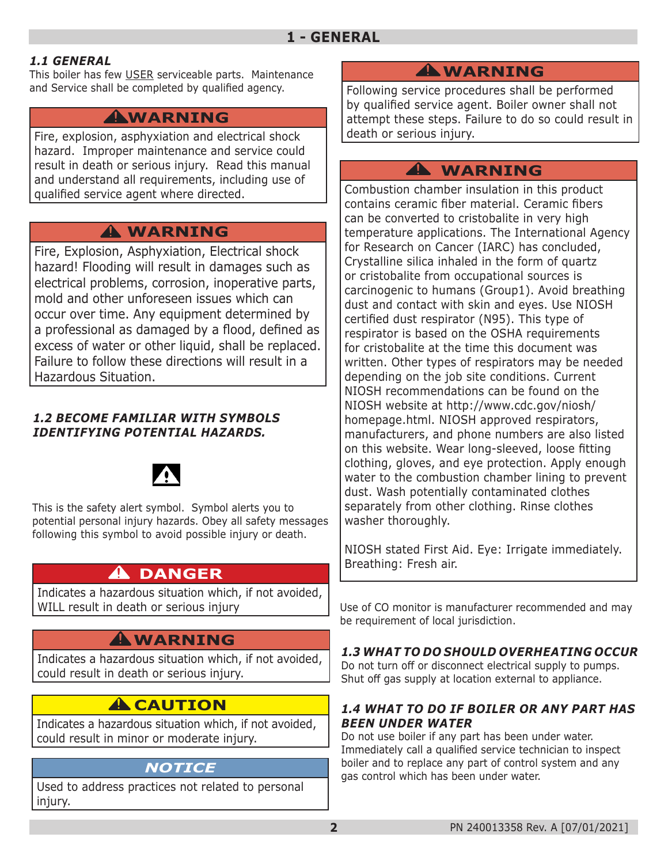#### *1.1 GENERAL*

This boiler has few USER serviceable parts. Maintenance and Service shall be completed by qualified agency.

## **WARNING !**

Fire, explosion, asphyxiation and electrical shock hazard. Improper maintenance and service could result in death or serious injury. Read this manual and understand all requirements, including use of qualified service agent where directed.

## **WARNING !**

Fire, Explosion, Asphyxiation, Electrical shock hazard! Flooding will result in damages such as electrical problems, corrosion, inoperative parts, mold and other unforeseen issues which can occur over time. Any equipment determined by a professional as damaged by a flood, defined as excess of water or other liquid, shall be replaced. Failure to follow these directions will result in a Hazardous Situation.

#### *1.2 BECOME FAMILIAR WITH SYMBOLS IDENTIFYING POTENTIAL HAZARDS.*



This is the safety alert symbol. Symbol alerts you to potential personal injury hazards. Obey all safety messages following this symbol to avoid possible injury or death.

## **DANGER !**

Indicates a hazardous situation which, if not avoided, WILL result in death or serious injury

## **WARNING !**

Indicates a hazardous situation which, if not avoided, could result in death or serious injury.

## **A** CAUTION

Indicates a hazardous situation which, if not avoided, could result in minor or moderate injury.

### *NOTICE*

Used to address practices not related to personal injury.

## **WARNING !**

Following service procedures shall be performed by qualified service agent. Boiler owner shall not attempt these steps. Failure to do so could result in death or serious injury.

## **WARNING !**

Combustion chamber insulation in this product contains ceramic fiber material. Ceramic fibers can be converted to cristobalite in very high temperature applications. The International Agency for Research on Cancer (IARC) has concluded, Crystalline silica inhaled in the form of quartz or cristobalite from occupational sources is carcinogenic to humans (Group1). Avoid breathing dust and contact with skin and eyes. Use NIOSH certified dust respirator (N95). This type of respirator is based on the OSHA requirements for cristobalite at the time this document was written. Other types of respirators may be needed depending on the job site conditions. Current NIOSH recommendations can be found on the NIOSH website at http://www.cdc.gov/niosh/ homepage.html. NIOSH approved respirators, manufacturers, and phone numbers are also listed on this website. Wear long-sleeved, loose fitting clothing, gloves, and eye protection. Apply enough water to the combustion chamber lining to prevent dust. Wash potentially contaminated clothes separately from other clothing. Rinse clothes washer thoroughly.

NIOSH stated First Aid. Eye: Irrigate immediately. Breathing: Fresh air.

Use of CO monitor is manufacturer recommended and may be requirement of local jurisdiction.

#### *1.3 WHAT TO DO SHOULD OVERHEATING OCCUR*

Do not turn off or disconnect electrical supply to pumps. Shut off gas supply at location external to appliance.

#### *1.4 WHAT TO DO IF BOILER OR ANY PART HAS BEEN UNDER WATER*

Do not use boiler if any part has been under water. Immediately call a qualified service technician to inspect boiler and to replace any part of control system and any gas control which has been under water.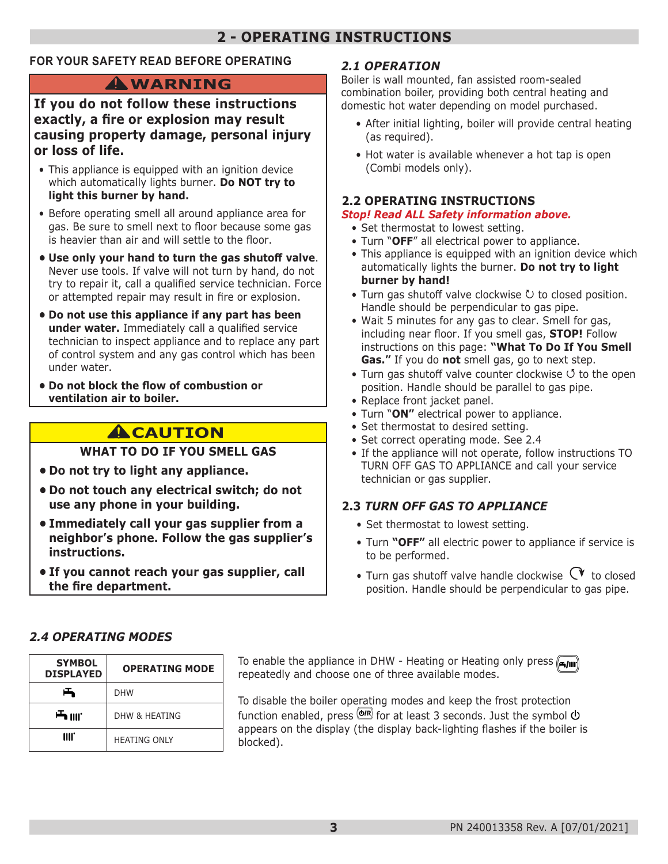## **2 - OPERATING INSTRUCTIONS**

#### **FOR YOUR SAFETY READ BEFORE OPERATING**

## **WARNING !**

#### **If you do not follow these instructions exactly, a fire or explosion may result causing property damage, personal injury or loss of life.**

- This appliance is equipped with an ignition device which automatically lights burner. **Do NOT try to light this burner by hand.**
- Before operating smell all around appliance area for gas. Be sure to smell next to floor because some gas is heavier than air and will settle to the floor.
- **• Use only your hand to turn the gas shutoff valve**. Never use tools. If valve will not turn by hand, do not try to repair it, call a qualified service technician. Force or attempted repair may result in fire or explosion.
- **• Do not use this appliance if any part has been under water.** Immediately call a qualified service technician to inspect appliance and to replace any part of control system and any gas control which has been under water.
- **• Do not block the flow of combustion or ventilation air to boiler.**

## **A**CAUTION

#### **WHAT TO DO IF YOU SMELL GAS**

- **• Do not try to light any appliance.**
- **• Do not touch any electrical switch; do not use any phone in your building.**
- **• Immediately call your gas supplier from a neighbor's phone. Follow the gas supplier's instructions.**
- **• If you cannot reach your gas supplier, call the fire department.**

#### *2.1 OPERATION*

Boiler is wall mounted, fan assisted room-sealed combination boiler, providing both central heating and domestic hot water depending on model purchased.

- After initial lighting, boiler will provide central heating (as required).
- Hot water is available whenever a hot tap is open (Combi models only).

#### **2.2 OPERATING INSTRUCTIONS**

#### *Stop! Read ALL Safety information above.*

- Set thermostat to lowest setting.
- Turn "**OFF**" all electrical power to appliance.
- This appliance is equipped with an ignition device which automatically lights the burner. **Do not try to light burner by hand!**
- Turn gas shutoff valve clockwise  $U$  to closed position. Handle should be perpendicular to gas pipe.
- Wait 5 minutes for any gas to clear. Smell for gas, including near floor. If you smell gas, **STOP!** Follow instructions on this page: **"What To Do If You Smell Gas."** If you do **not** smell gas, go to next step.
- Turn gas shutoff valve counter clockwise  $\circ$  to the open position. Handle should be parallel to gas pipe.
- Replace front jacket panel.
- Turn "**ON"** electrical power to appliance.
- Set thermostat to desired setting.
- Set correct operating mode. See 2.4
- If the appliance will not operate, follow instructions TO TURN OFF GAS TO APPLIANCE and call your service technician or gas supplier.

#### **2.3** *TURN OFF GAS TO APPLIANCE*

- Set thermostat to lowest setting.
- Turn **"OFF"** all electric power to appliance if service is to be performed.
- Turn gas shutoff valve handle clockwise  $\mathbb{C}^{\blacktriangledown}$  to closed position. Handle should be perpendicular to gas pipe.

#### *2.4 OPERATING MODES*

| <b>SYMBOL</b><br><b>DISPLAYED</b> | <b>OPERATING MODE</b> |
|-----------------------------------|-----------------------|
| ᅩ                                 | <b>DHW</b>            |
| <b>一</b> IIII.                    | DHW & HFATING         |
| IIII.                             | <b>HEATING ONLY</b>   |

**To enable the appliance in DHW - Heating or Heating only press <b>Figure** repeatedly and choose one of three available modes.

To disable the boiler operating modes and keep the frost protection function enabled, press  $\overline{\text{O}^{(R)}}$  for at least 3 seconds. Just the symbol  $\overline{\text{O}}$ appears on the display (the display back-lighting flashes if the boiler is blocked).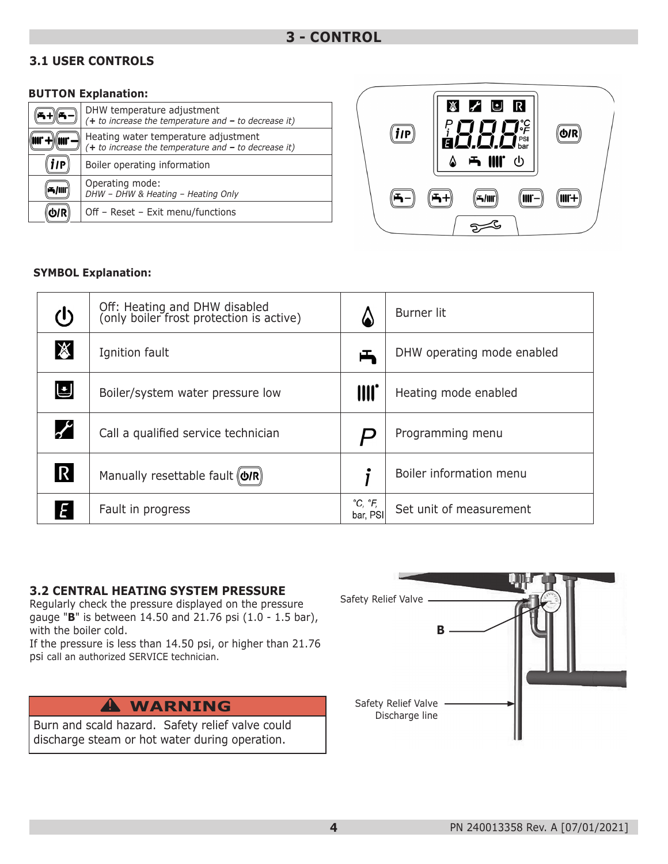#### **3.1 USER CONTROLS**

#### **BUTTON Explanation:**

|     | DHW temperature adjustment<br>$(+ to increase the temperature and - to decrease it)$           |
|-----|------------------------------------------------------------------------------------------------|
|     | Heating water temperature adjustment<br>$(+ to increase the temperature and - to decrease it)$ |
| 11P | Boiler operating information                                                                   |
|     | Operating mode:<br>DHW - DHW & Heating - Heating Only                                          |
|     | Off - Reset - Exit menu/functions                                                              |



#### **SYMBOL Explanation:**

| $\mathcal{L}$         | Off: Heating and DHW disabled<br>(only boiler frost protection is active) |                                     | Burner lit                 |
|-----------------------|---------------------------------------------------------------------------|-------------------------------------|----------------------------|
| $\cancel{\mathbb{X}}$ | Ignition fault                                                            | 凸                                   | DHW operating mode enabled |
| リ                     | Boiler/system water pressure low                                          | III.                                | Heating mode enabled       |
| $\boldsymbol{r}$      | Call a qualified service technician                                       |                                     | Programming menu           |
| $\mathsf R$           | Manually resettable fault (O/R)                                           |                                     | Boiler information menu    |
| E                     | Fault in progress                                                         | $^{\circ}C, ^{\circ}F,$<br>bar, PSI | Set unit of measurement    |

#### **3.2 CENTRAL HEATING SYSTEM PRESSURE**

Regularly check the pressure displayed on the pressure gauge "**B**" is between 14.50 and 21.76 psi (1.0 - 1.5 bar), with the boiler cold.

If the pressure is less than 14.50 psi, or higher than 21.76 psi call an authorized SERVICE technician.

Burn and scald hazard. Safety relief valve could discharge steam or hot water during operation.

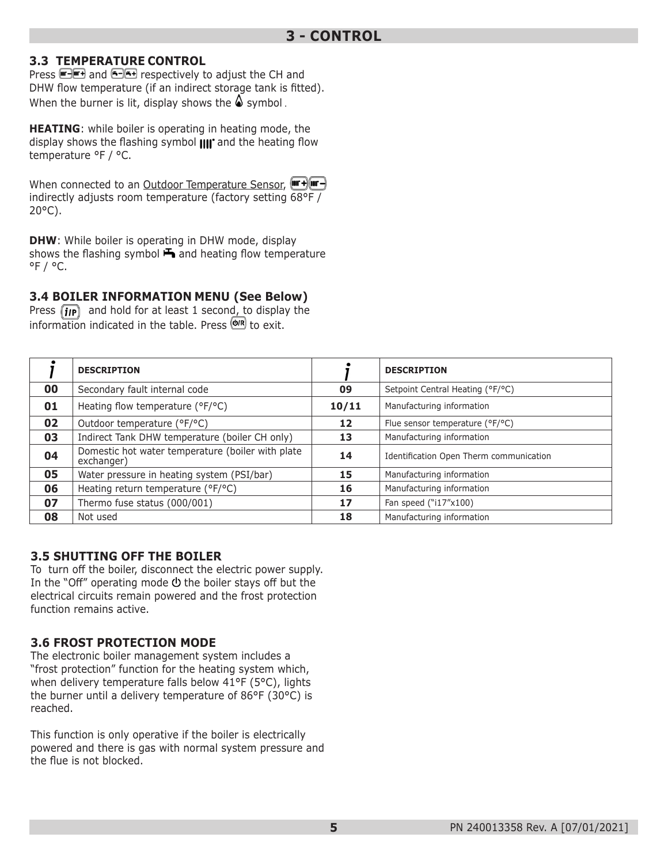#### **3.3 TEMPERATURE CONTROL**

Press **and and 6-6+** respectively to adjust the CH and DHW flow temperature (if an indirect storage tank is fitted). When the burner is lit, display shows the  $\triangle$  symbol.

**HEATING**: while boiler is operating in heating mode, the display shows the flashing symbol  $\text{III}^*$  and the heating flow temperature °F / °C.

When connected to an Outdoor Temperature Sensor, (Form +) (The H) indirectly adjusts room temperature (factory setting 68°F / 20°C).

**DHW**: While boiler is operating in DHW mode, display shows the flashing symbol  $\blacktriangleright$  and heating flow temperature  $^{\circ}$ F /  $^{\circ}$ C.

#### **3.4 BOILER INFORMATION MENU (See Below)**

Press  $\left(\mathbf{i}\mathbf{p}\right)$  and hold for at least 1 second, to display the information indicated in the table. Press  $\overline{\text{Q/R}}$  to exit.

|    | <b>DESCRIPTION</b>                                              |       | <b>DESCRIPTION</b>                      |
|----|-----------------------------------------------------------------|-------|-----------------------------------------|
| 00 | Secondary fault internal code                                   | 09    | Setpoint Central Heating (°F/°C)        |
| 01 | Heating flow temperature (°F/°C)                                | 10/11 | Manufacturing information               |
| 02 | Outdoor temperature (°F/°C)                                     | 12    | Flue sensor temperature (°F/°C)         |
| 03 | Indirect Tank DHW temperature (boiler CH only)                  | 13    | Manufacturing information               |
| 04 | Domestic hot water temperature (boiler with plate<br>exchanger) | 14    | Identification Open Therm communication |
| 05 | Water pressure in heating system (PSI/bar)                      | 15    | Manufacturing information               |
| 06 | Heating return temperature (°F/°C)                              | 16    | Manufacturing information               |
| 07 | Thermo fuse status (000/001)                                    | 17    | Fan speed ("i17"x100)                   |
| 08 | Not used                                                        | 18    | Manufacturing information               |

#### **3.5 SHUTTING OFF THE BOILER**

To turn off the boiler, disconnect the electric power supply. In the "Off" operating mode  $\Phi$  the boiler stays off but the electrical circuits remain powered and the frost protection function remains active.

#### **3.6 FROST PROTECTION MODE**

The electronic boiler management system includes a "frost protection" function for the heating system which, when delivery temperature falls below 41°F (5°C), lights the burner until a delivery temperature of 86°F (30°C) is reached.

This function is only operative if the boiler is electrically powered and there is gas with normal system pressure and the flue is not blocked.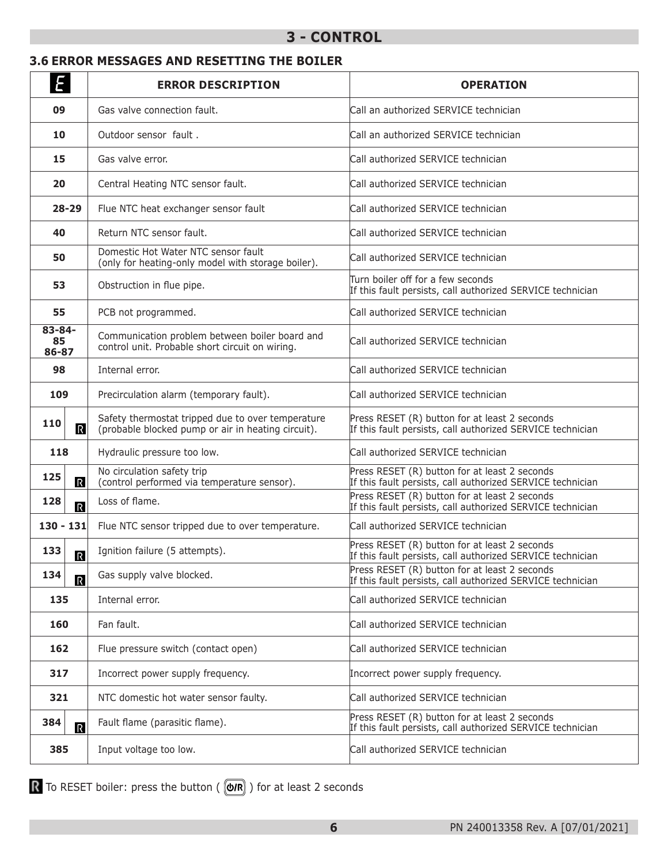#### **3 - CONTROL**

#### **3.6 ERROR MESSAGES AND RESETTING THE BOILER**

| E                              | <b>ERROR DESCRIPTION</b>                                                                                | <b>OPERATION</b>                                                                                            |  |
|--------------------------------|---------------------------------------------------------------------------------------------------------|-------------------------------------------------------------------------------------------------------------|--|
| 09                             | Gas valve connection fault.                                                                             | Call an authorized SERVICE technician                                                                       |  |
| 10                             | Outdoor sensor fault.                                                                                   | Call an authorized SERVICE technician                                                                       |  |
| 15                             | Gas valve error.                                                                                        | Call authorized SERVICE technician                                                                          |  |
| 20                             | Central Heating NTC sensor fault.                                                                       | Call authorized SERVICE technician                                                                          |  |
| $28 - 29$                      | Flue NTC heat exchanger sensor fault                                                                    | Call authorized SERVICE technician                                                                          |  |
| 40                             | Return NTC sensor fault.                                                                                | Call authorized SERVICE technician                                                                          |  |
| 50                             | Domestic Hot Water NTC sensor fault<br>(only for heating-only model with storage boiler).               | Call authorized SERVICE technician                                                                          |  |
| 53                             | Obstruction in flue pipe.                                                                               | Turn boiler off for a few seconds<br>If this fault persists, call authorized SERVICE technician             |  |
| 55                             | PCB not programmed.                                                                                     | Call authorized SERVICE technician                                                                          |  |
| 83-84-<br>85<br>86-87          | Communication problem between boiler board and<br>control unit. Probable short circuit on wiring.       | Call authorized SERVICE technician                                                                          |  |
| 98                             | Internal error.                                                                                         | Call authorized SERVICE technician                                                                          |  |
| 109                            | Precirculation alarm (temporary fault).                                                                 | Call authorized SERVICE technician                                                                          |  |
| 110<br>$\mathbb{R}$            | Safety thermostat tripped due to over temperature<br>(probable blocked pump or air in heating circuit). | Press RESET (R) button for at least 2 seconds<br>If this fault persists, call authorized SERVICE technician |  |
| 118                            | Hydraulic pressure too low.                                                                             | Call authorized SERVICE technician                                                                          |  |
| 125<br>$\mathbb R$             | No circulation safety trip<br>(control performed via temperature sensor).                               | Press RESET (R) button for at least 2 seconds<br>If this fault persists, call authorized SERVICE technician |  |
| 128<br>$\overline{\mathbb{R}}$ | Loss of flame.                                                                                          | Press RESET (R) button for at least 2 seconds<br>If this fault persists, call authorized SERVICE technician |  |
| $130 - 131$                    | Flue NTC sensor tripped due to over temperature.                                                        | Call authorized SERVICE technician                                                                          |  |
| 133<br>$\mathbf R$             | Ignition failure (5 attempts).                                                                          | Press RESET (R) button for at least 2 seconds<br>If this fault persists, call authorized SERVICE technician |  |
| 134<br>$\overline{\mathbb{R}}$ | Gas supply valve blocked.                                                                               | Press RESET (R) button for at least 2 seconds<br>If this fault persists, call authorized SERVICE technician |  |
| 135                            | Internal error.                                                                                         | Call authorized SERVICE technician                                                                          |  |
| 160                            | Fan fault.                                                                                              | Call authorized SERVICE technician                                                                          |  |
| 162                            | Flue pressure switch (contact open)                                                                     | Call authorized SERVICE technician                                                                          |  |
| 317                            | Incorrect power supply frequency.                                                                       | Incorrect power supply frequency.                                                                           |  |
| 321                            | NTC domestic hot water sensor faulty.                                                                   | Call authorized SERVICE technician                                                                          |  |
| 384<br>$\overline{\mathbb{R}}$ | Fault flame (parasitic flame).                                                                          | Press RESET (R) button for at least 2 seconds<br>If this fault persists, call authorized SERVICE technician |  |
| 385                            | Input voltage too low.                                                                                  | Call authorized SERVICE technician                                                                          |  |

To RESET boiler: press the button ( $($   $\circledR$ ) for at least 2 seconds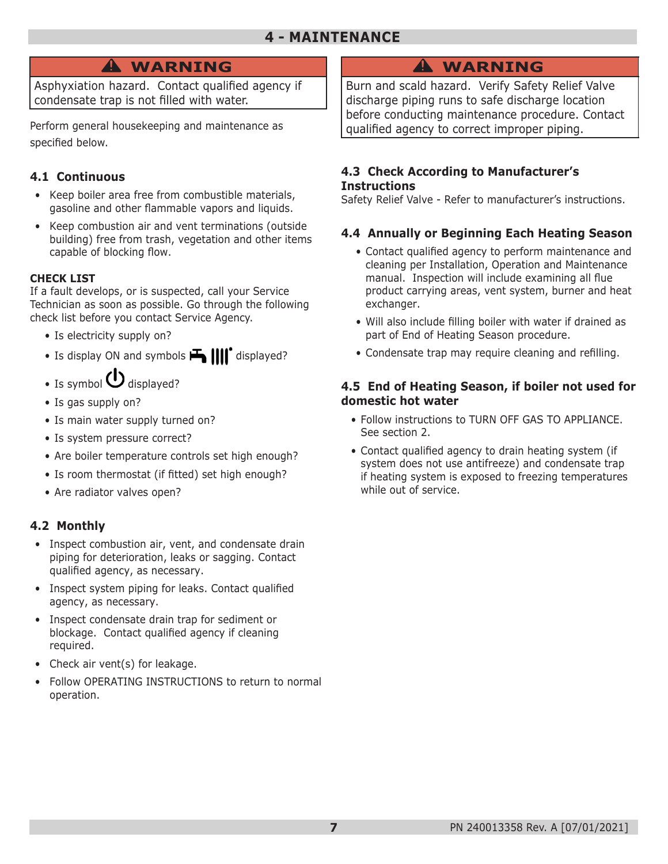## **WARNING !**

Asphyxiation hazard. Contact qualified agency if condensate trap is not filled with water.

Perform general housekeeping and maintenance as specified below.

#### **4.1 Continuous**

- Keep boiler area free from combustible materials, gasoline and other flammable vapors and liquids.
- Keep combustion air and vent terminations (outside building) free from trash, vegetation and other items capable of blocking flow.

#### **CHECK LIST**

If a fault develops, or is suspected, call your Service Technician as soon as possible. Go through the following check list before you contact Service Agency.

- Is electricity supply on?
- Is display ON and symbols  $\mathbf{H}$   $\mathbf{III}^*$  displayed?
- Is symbol  $\bigcup$  displayed?
- Is gas supply on?
- Is main water supply turned on?
- Is system pressure correct?
- Are boiler temperature controls set high enough?
- Is room thermostat (if fitted) set high enough?
- Are radiator valves open?

#### **4.2 Monthly**

- Inspect combustion air, vent, and condensate drain piping for deterioration, leaks or sagging. Contact qualified agency, as necessary.
- Inspect system piping for leaks. Contact qualified agency, as necessary.
- Inspect condensate drain trap for sediment or blockage. Contact qualified agency if cleaning required.
- Check air vent(s) for leakage.
- Follow OPERATING INSTRUCTIONS to return to normal operation.

## **WARNING !**

Burn and scald hazard. Verify Safety Relief Valve discharge piping runs to safe discharge location before conducting maintenance procedure. Contact qualified agency to correct improper piping.

#### **4.3 Check According to Manufacturer's Instructions**

Safety Relief Valve - Refer to manufacturer's instructions.

#### **4.4 Annually or Beginning Each Heating Season**

- Contact qualified agency to perform maintenance and cleaning per Installation, Operation and Maintenance manual. Inspection will include examining all flue product carrying areas, vent system, burner and heat exchanger.
- Will also include filling boiler with water if drained as part of End of Heating Season procedure.
- Condensate trap may require cleaning and refilling.

#### **4.5 End of Heating Season, if boiler not used for domestic hot water**

- Follow instructions to TURN OFF GAS TO APPLIANCE. See section 2.
- Contact qualified agency to drain heating system (if system does not use antifreeze) and condensate trap if heating system is exposed to freezing temperatures while out of service.